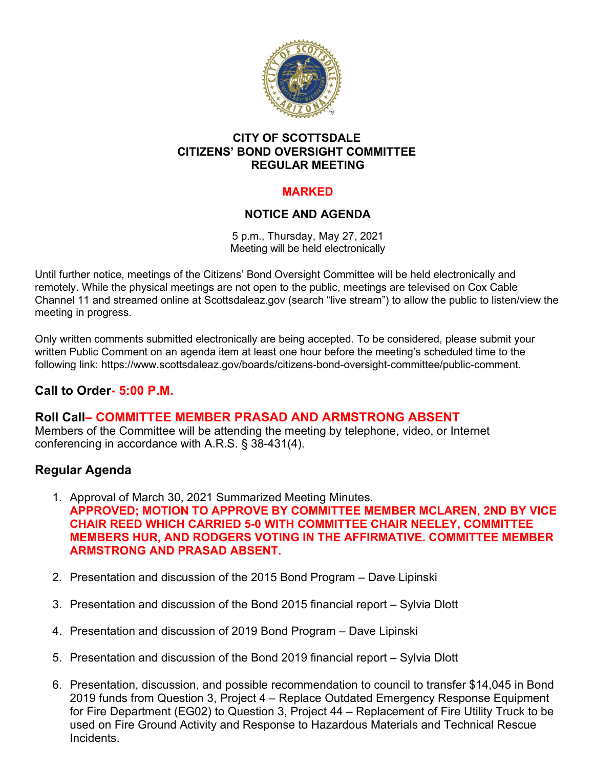

## **CITY OF SCOTTSDALE CITIZENS' BOND OVERSIGHT COMMITTEE REGULAR MEETING**

# **MARKED**

# **NOTICE AND AGENDA**

5 p.m., Thursday, May 27, 2021 Meeting will be held electronically

Until further notice, meetings of the Citizens' Bond Oversight Committee will be held electronically and remotely. While the physical meetings are not open to the public, meetings are televised on Cox Cable Channel 11 and streamed online at Scottsdaleaz.gov (search "live stream") to allow the public to listen/view the meeting in progress.

Only written comments submitted electronically are being accepted. To be considered, please submit your written Public Comment on an agenda item at least one hour before the meeting's scheduled time to the following link: https://www.scottsdaleaz.gov/boards/citizens-bond-oversight-committee/public-comment.

# **Call to Order- 5:00 P.M.**

**Roll Call– COMMITTEE MEMBER PRASAD AND ARMSTRONG ABSENT** Members of the Committee will be attending the meeting by telephone, video, or Internet conferencing in accordance with A.R.S. § 38-431(4).

# **Regular Agenda**

- 1. Approval of March 30, 2021 Summarized Meeting Minutes. **APPROVED; MOTION TO APPROVE BY COMMITTEE MEMBER MCLAREN, 2ND BY VICE CHAIR REED WHICH CARRIED 5-0 WITH COMMITTEE CHAIR NEELEY, COMMITTEE MEMBERS HUR, AND RODGERS VOTING IN THE AFFIRMATIVE. COMMITTEE MEMBER ARMSTRONG AND PRASAD ABSENT.**
- 2. Presentation and discussion of the 2015 Bond Program Dave Lipinski
- 3. Presentation and discussion of the Bond 2015 financial report Sylvia Dlott
- 4. Presentation and discussion of 2019 Bond Program Dave Lipinski
- 5. Presentation and discussion of the Bond 2019 financial report Sylvia Dlott
- 6. Presentation, discussion, and possible recommendation to council to transfer \$14,045 in Bond 2019 funds from Question 3, Project 4 – Replace Outdated Emergency Response Equipment for Fire Department (EG02) to Question 3, Project 44 – Replacement of Fire Utility Truck to be used on Fire Ground Activity and Response to Hazardous Materials and Technical Rescue **Incidents**